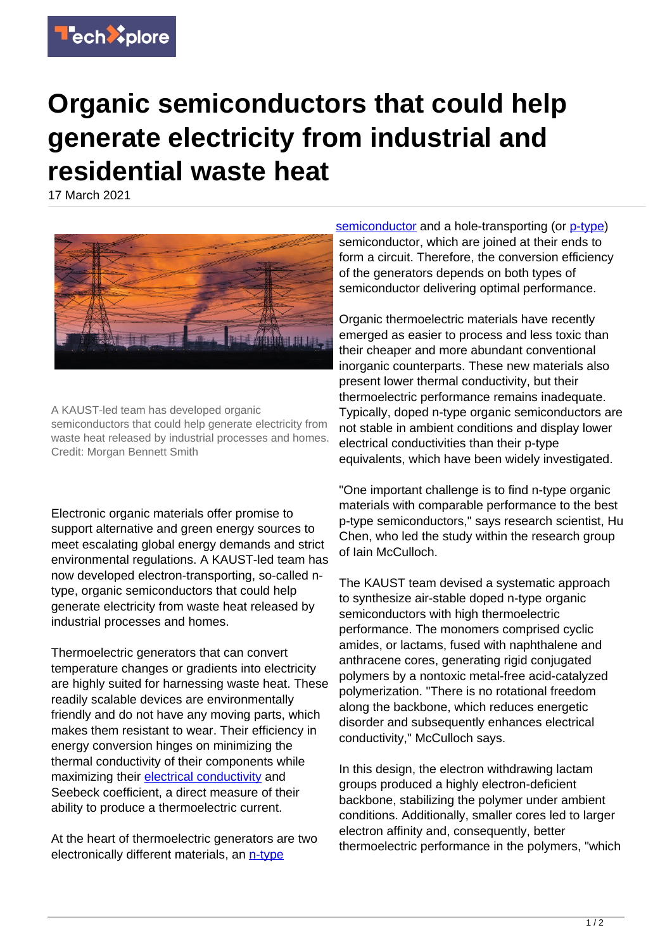

## **Organic semiconductors that could help generate electricity from industrial and residential waste heat**

17 March 2021



A KAUST-led team has developed organic semiconductors that could help generate electricity from waste heat released by industrial processes and homes. Credit: Morgan Bennett Smith

Electronic organic materials offer promise to support alternative and green energy sources to meet escalating global energy demands and strict environmental regulations. A KAUST-led team has now developed electron-transporting, so-called ntype, organic semiconductors that could help generate electricity from waste heat released by industrial processes and homes.

Thermoelectric generators that can convert temperature changes or gradients into electricity are highly suited for harnessing waste heat. These readily scalable devices are environmentally friendly and do not have any moving parts, which makes them resistant to wear. Their efficiency in energy conversion hinges on minimizing the thermal conductivity of their components while maximizing their [electrical conductivity](https://techxplore.com/tags/electrical+conductivity/) and Seebeck coefficient, a direct measure of their ability to produce a thermoelectric current.

At the heart of thermoelectric generators are two electronically different materials, an [n-type](https://techxplore.com/tags/n-type/)

[semiconductor](https://techxplore.com/tags/semiconductor/) and a hole-transporting (or [p-type](https://techxplore.com/tags/p-type/)) semiconductor, which are joined at their ends to form a circuit. Therefore, the conversion efficiency of the generators depends on both types of semiconductor delivering optimal performance.

Organic thermoelectric materials have recently emerged as easier to process and less toxic than their cheaper and more abundant conventional inorganic counterparts. These new materials also present lower thermal conductivity, but their thermoelectric performance remains inadequate. Typically, doped n-type organic semiconductors are not stable in ambient conditions and display lower electrical conductivities than their p-type equivalents, which have been widely investigated.

"One important challenge is to find n-type organic materials with comparable performance to the best p-type semiconductors," says research scientist, Hu Chen, who led the study within the research group of Iain McCulloch.

The KAUST team devised a systematic approach to synthesize air-stable doped n-type organic semiconductors with high thermoelectric performance. The monomers comprised cyclic amides, or lactams, fused with naphthalene and anthracene cores, generating rigid conjugated polymers by a nontoxic metal-free acid-catalyzed polymerization. "There is no rotational freedom along the backbone, which reduces energetic disorder and subsequently enhances electrical conductivity," McCulloch says.

In this design, the electron withdrawing lactam groups produced a highly electron-deficient backbone, stabilizing the polymer under ambient conditions. Additionally, smaller cores led to larger electron affinity and, consequently, better thermoelectric performance in the polymers, "which